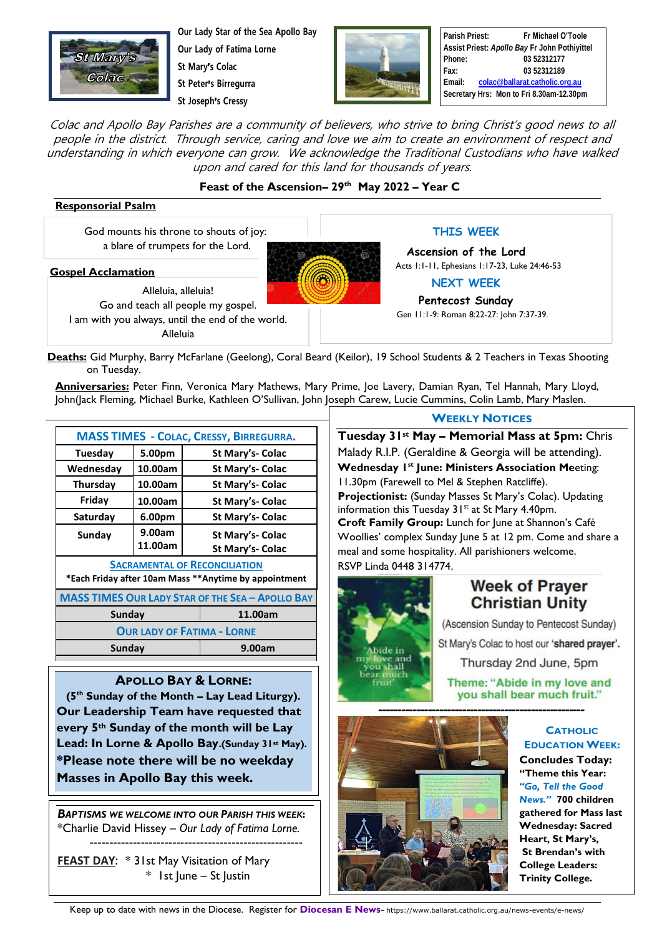

**Our Lady Star of the Sea Apollo Bay Our Lady of Fatima Lorne St Mary**'**s Colac**

**St Peter**'**s Birregurra**

**St Joseph**'**s Cressy**



**Parish Priest: Fr Michael O'Toole Assist Priest:** *Apollo Bay* **Fr John Pothiyittel Phone: 03 52312177 Fax: 03 52312189 Email: [colac@ballarat.catholic.org.au](mailto:colac@ballarat.catholic.org.au) Secretary Hrs: Mon to Fri 8.30am-12.30pm**

Colac and Apollo Bay Parishes are a community of believers, who strive to bring Christ's good news to all people in the district. Through service, caring and love we aim to create an environment of respect and understanding in which everyone can grow. We acknowledge the Traditional Custodians who have walked upon and cared for this land for thousands of years.

### **Feast of the Ascension– 29 th May 2022 – Year C**

#### **Responsorial Psalm**

God mounts his throne to shouts of joy: a blare of trumpets for the Lord.

#### **Gospel Acclamation**

Alleluia, alleluia! Go and teach all people my gospel. I am with you always, until the end of the world. Alleluia

**THIS WEEK**

**Ascension of the Lord** Acts 1:1-11, Ephesians 1:17-23, Luke 24:46-53

**NEXT WEEK**

**Pentecost Sunday** Gen 11:1-9: Roman 8:22-27: John 7:37-39.

**Deaths:** Gid Murphy, Barry McFarlane (Geelong), Coral Beard (Keilor), 19 School Students & 2 Teachers in Texas Shooting on Tuesday.

**Anniversaries:** Peter Finn, Veronica Mary Mathews, Mary Prime, Joe Lavery, Damian Ryan, Tel Hannah, Mary Lloyd, John(Jack Fleming, Michael Burke, Kathleen O'Sullivan, John Joseph Carew, Lucie Cummins, Colin Lamb, Mary Maslen.

> $\overline{\phantom{a}}$  $\overline{\phantom{a}}$

| <b>MASS TIMES - COLAC, CRESSY, BIRREGURRA.</b>                                                |         |                  |
|-----------------------------------------------------------------------------------------------|---------|------------------|
| Tuesday                                                                                       | 5.00pm  | St Mary's- Colac |
| Wednesday                                                                                     | 10.00am | St Mary's- Colac |
| Thursday                                                                                      | 10.00am | St Mary's- Colac |
| Friday                                                                                        | 10.00am | St Mary's- Colac |
| Saturday                                                                                      | 6.00pm  | St Mary's- Colac |
| Sunday                                                                                        | 9.00am  | St Mary's- Colac |
|                                                                                               | 11.00am | St Mary's- Colac |
| <b>SACRAMENTAL OF RECONCILIATION</b><br>*Each Friday after 10am Mass **Anytime by appointment |         |                  |
| <b>MASS TIMES OUR LADY STAR OF THE SEA - APOLLO BAY</b>                                       |         |                  |
| Sunday                                                                                        |         | 11.00am          |
| <b>OUR LADY OF FATIMA - LORNE</b>                                                             |         |                  |
| Sunday                                                                                        |         | 9.00am           |

#### **APOLLO BAY & LORNE:**

**(5th Sunday of the Month – Lay Lead Liturgy). Our Leadership Team have requested that every 5th Sunday of the month will be Lay Lead: In Lorne & Apollo Bay.(Sunday 31st May). \*Please note there will be no weekday Masses in Apollo Bay this week.**

*BAPTISMS WE WELCOME INTO OUR PARISH THIS WEEK***:**  \*Charlie David Hissey – *Our Lady of Fatima Lorne.* ------------------------------------------------------

**FEAST DAY**: \* 31st May Visitation of Mary  $*$  1st June – St Justin

**WEEKLY NOTICES**

**Tuesday 31st May – Memorial Mass at 5pm:** Chris Malady R.I.P. (Geraldine & Georgia will be attending). **Wednesday 1 st June: Ministers Association Me**eting: 11.30pm (Farewell to Mel & Stephen Ratcliffe). **Projectionist:** (Sunday Masses St Mary's Colac). Updating information this Tuesday 31<sup>st</sup> at St Mary 4.40pm. **Croft Family Group:** Lunch for June at Shannon's Café Woollies' complex Sunday June 5 at 12 pm. Come and share a meal and some hospitality. All parishioners welcome. RSVP Linda 0448 314774.



## **Week of Prayer Christian Unity**

(Ascension Sunday to Pentecost Sunday) St Mary's Colac to host our 'shared prayer'. Thursday 2nd June, 5pm

Theme: "Abide in my love and you shall bear much fruit."



**CATHOLIC EDUCATION WEEK: Concludes Today: "Theme this Year:**  *"Go, Tell the Good News."* **700 children gathered for Mass last Wednesday: Sacred Heart, St Mary's, St Brendan's with College Leaders: Trinity College.**